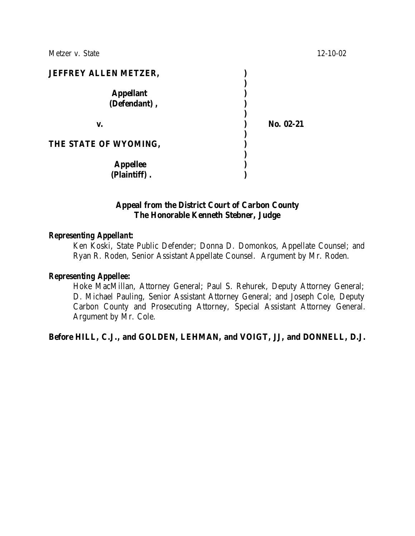**JEFFREY ALLEN METZER, ) ) Appellant ) (Defendant) , ) ) v. ) No. 02-21 ) THE STATE OF WYOMING, ) ) Appellee ) (Plaintiff) . )**

## **Appeal from the District Court of Carbon County The Honorable Kenneth Stebner, Judge**

#### *Representing Appellant:*

Ken Koski, State Public Defender; Donna D. Domonkos, Appellate Counsel; and Ryan R. Roden, Senior Assistant Appellate Counsel. Argument by Mr. Roden.

#### *Representing Appellee:*

Hoke MacMillan, Attorney General; Paul S. Rehurek, Deputy Attorney General; D. Michael Pauling, Senior Assistant Attorney General; and Joseph Cole, Deputy Carbon County and Prosecuting Attorney, Special Assistant Attorney General. Argument by Mr. Cole.

#### **Before HILL, C.J., and GOLDEN, LEHMAN, and VOIGT, JJ, and DONNELL, D.J.**

Metzer v. State 12-10-02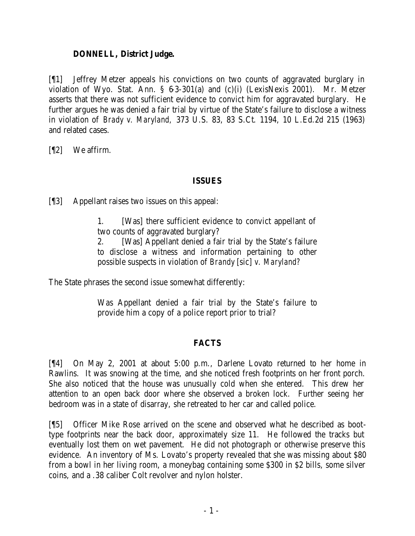### **DONNELL, District Judge.**

[¶1] Jeffrey Metzer appeals his convictions on two counts of aggravated burglary in violation of Wyo. Stat. Ann. § 6-3-301(a) and (c)(i) (LexisNexis 2001). Mr. Metzer asserts that there was not sufficient evidence to convict him for aggravated burglary. He further argues he was denied a fair trial by virtue of the State's failure to disclose a witness in violation of *Brady v. Maryland,* 373 U.S. 83, 83 S.Ct. 1194, 10 L.Ed.2d 215 (1963) and related cases.

[¶2] We affirm.

# **ISSUES**

[¶3] Appellant raises two issues on this appeal:

1. [Was] there sufficient evidence to convict appellant of two counts of aggravated burglary?

2. [Was] Appellant denied a fair trial by the State's failure to disclose a witness and information pertaining to other possible suspects in violation of *Brandy* [sic] *v. Maryland?*

The State phrases the second issue somewhat differently:

Was Appellant denied a fair trial by the State's failure to provide him a copy of a police report prior to trial?

# **FACTS**

[¶4] On May 2, 2001 at about 5:00 p.m., Darlene Lovato returned to her home in Rawlins. It was snowing at the time, and she noticed fresh footprints on her front porch. She also noticed that the house was unusually cold when she entered. This drew her attention to an open back door where she observed a broken lock. Further seeing her bedroom was in a state of disarray, she retreated to her car and called police.

[¶5] Officer Mike Rose arrived on the scene and observed what he described as boottype footprints near the back door, approximately size 11. He followed the tracks but eventually lost them on wet pavement. He did not photograph or otherwise preserve this evidence. An inventory of Ms. Lovato's property revealed that she was missing about \$80 from a bowl in her living room, a moneybag containing some \$300 in \$2 bills, some silver coins, and a .38 caliber Colt revolver and nylon holster.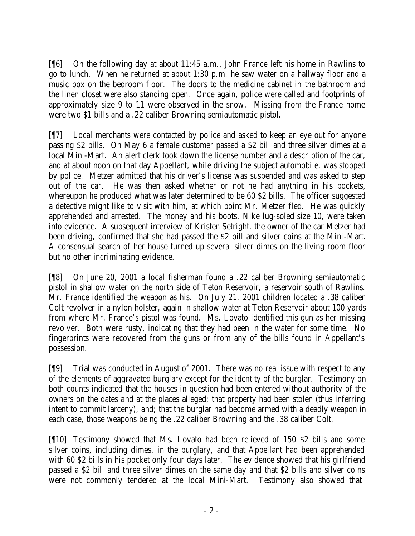[¶6] On the following day at about 11:45 a.m., John France left his home in Rawlins to go to lunch. When he returned at about 1:30 p.m. he saw water on a hallway floor and a music box on the bedroom floor. The doors to the medicine cabinet in the bathroom and the linen closet were also standing open. Once again, police were called and footprints of approximately size 9 to 11 were observed in the snow. Missing from the France home were two \$1 bills and a .22 caliber Browning semiautomatic pistol.

[¶7] Local merchants were contacted by police and asked to keep an eye out for anyone passing \$2 bills. On May 6 a female customer passed a \$2 bill and three silver dimes at a local Mini-Mart. An alert clerk took down the license number and a description of the car, and at about noon on that day Appellant, while driving the subject automobile, was stopped by police. Metzer admitted that his driver's license was suspended and was asked to step out of the car. He was then asked whether or not he had anything in his pockets, whereupon he produced what was later determined to be 60 \$2 bills. The officer suggested a detective might like to visit with him, at which point Mr. Metzer fled. He was quickly apprehended and arrested. The money and his boots, Nike lug-soled size 10, were taken into evidence. A subsequent interview of Kristen Setright, the owner of the car Metzer had been driving, confirmed that she had passed the \$2 bill and silver coins at the Mini-Mart. A consensual search of her house turned up several silver dimes on the living room floor but no other incriminating evidence.

[¶8] On June 20, 2001 a local fisherman found a .22 caliber Browning semiautomatic pistol in shallow water on the north side of Teton Reservoir, a reservoir south of Rawlins. Mr. France identified the weapon as his. On July 21, 2001 children located a .38 caliber Colt revolver in a nylon holster, again in shallow water at Teton Reservoir about 100 yards from where Mr. France's pistol was found. Ms. Lovato identified this gun as her missing revolver. Both were rusty, indicating that they had been in the water for some time. No fingerprints were recovered from the guns or from any of the bills found in Appellant's possession.

[¶9] Trial was conducted in August of 2001. There was no real issue with respect to any of the elements of aggravated burglary except for the identity of the burglar. Testimony on both counts indicated that the houses in question had been entered without authority of the owners on the dates and at the places alleged; that property had been stolen (thus inferring intent to commit larceny), and; that the burglar had become armed with a deadly weapon in each case, those weapons being the .22 caliber Browning and the .38 caliber Colt.

[¶10] Testimony showed that Ms. Lovato had been relieved of 150 \$2 bills and some silver coins, including dimes, in the burglary, and that Appellant had been apprehended with 60 \$2 bills in his pocket only four days later. The evidence showed that his girlfriend passed a \$2 bill and three silver dimes on the same day and that \$2 bills and silver coins were not commonly tendered at the local Mini-Mart. Testimony also showed that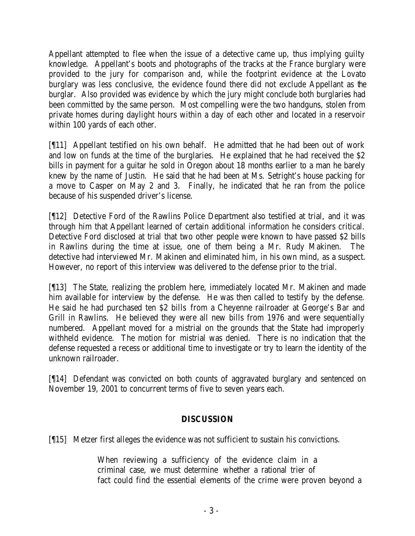Appellant attempted to flee when the issue of a detective came up, thus implying guilty knowledge. Appellant's boots and photographs of the tracks at the France burglary were provided to the jury for comparison and, while the footprint evidence at the Lovato burglary was less conclusive, the evidence found there did not exclude Appellant as the burglar. Also provided was evidence by which the jury might conclude both burglaries had been committed by the same person. Most compelling were the two handguns, stolen from private homes during daylight hours within a day of each other and located in a reservoir within 100 yards of each other.

[¶11] Appellant testified on his own behalf. He admitted that he had been out of work and low on funds at the time of the burglaries. He explained that he had received the \$2 bills in payment for a guitar he sold in Oregon about 18 months earlier to a man he barely knew by the name of Justin. He said that he had been at Ms. Setright's house packing for a move to Casper on May 2 and 3. Finally, he indicated that he ran from the police because of his suspended driver's license.

[¶12] Detective Ford of the Rawlins Police Department also testified at trial, and it was through him that Appellant learned of certain additional information he considers critical. Detective Ford disclosed at trial that two other people were known to have passed \$2 bills in Rawlins during the time at issue, one of them being a Mr. Rudy Makinen. The detective had interviewed Mr. Makinen and eliminated him, in his own mind, as a suspect. However, no report of this interview was delivered to the defense prior to the trial.

[¶13] The State, realizing the problem here, immediately located Mr. Makinen and made him available for interview by the defense. He was then called to testify by the defense. He said he had purchased ten \$2 bills from a Cheyenne railroader at George's Bar and Grill in Rawlins. He believed they were all new bills from 1976 and were sequentially numbered. Appellant moved for a mistrial on the grounds that the State had improperly withheld evidence. The motion for mistrial was denied. There is no indication that the defense requested a recess or additional time to investigate or try to learn the identity of the unknown railroader.

[¶14] Defendant was convicted on both counts of aggravated burglary and sentenced on November 19, 2001 to concurrent terms of five to seven years each.

# **DISCUSSION**

[¶15] Metzer first alleges the evidence was not sufficient to sustain his convictions.

When reviewing a sufficiency of the evidence claim in a criminal case, we must determine whether a rational trier of fact could find the essential elements of the crime were proven beyond a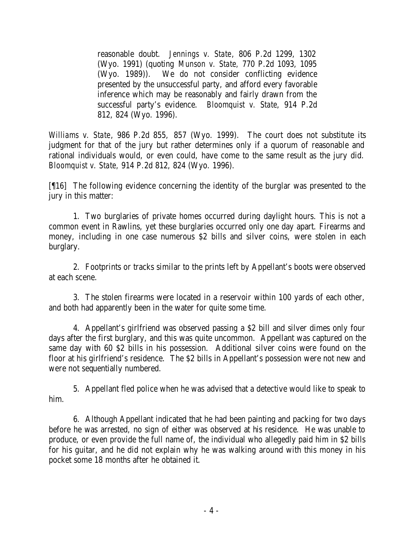reasonable doubt. *Jennings v. State*, 806 P.2d 1299, 1302 (Wyo. 1991) (quoting *Munson v. State,* 770 P.2d 1093, 1095 (Wyo. 1989)). We do not consider conflicting evidence presented by the unsuccessful party, and afford every favorable inference which may be reasonably and fairly drawn from the successful party's evidence. *Bloomquist v. State*, 914 P.2d 812, 824 (Wyo. 1996).

*Williams v. State*, 986 P.2d 855, 857 (Wyo. 1999). The court does not substitute its judgment for that of the jury but rather determines only if a quorum of reasonable and rational individuals would, or even could, have come to the same result as the jury did. *Bloomquist v. State,* 914 P.2d 812, 824 (Wyo. 1996).

[¶16] The following evidence concerning the identity of the burglar was presented to the jury in this matter:

1. Two burglaries of private homes occurred during daylight hours. This is not a common event in Rawlins, yet these burglaries occurred only one day apart. Firearms and money, including in one case numerous \$2 bills and silver coins, were stolen in each burglary.

2. Footprints or tracks similar to the prints left by Appellant's boots were observed at each scene.

3. The stolen firearms were located in a reservoir within 100 yards of each other, and both had apparently been in the water for quite some time.

4. Appellant's girlfriend was observed passing a \$2 bill and silver dimes only four days after the first burglary, and this was quite uncommon. Appellant was captured on the same day with 60 \$2 bills in his possession. Additional silver coins were found on the floor at his girlfriend's residence. The \$2 bills in Appellant's possession were not new and were not sequentially numbered.

5. Appellant fled police when he was advised that a detective would like to speak to him.

6. Although Appellant indicated that he had been painting and packing for two days before he was arrested, no sign of either was observed at his residence. He was unable to produce, or even provide the full name of, the individual who allegedly paid him in \$2 bills for his guitar, and he did not explain why he was walking around with this money in his pocket some 18 months after he obtained it.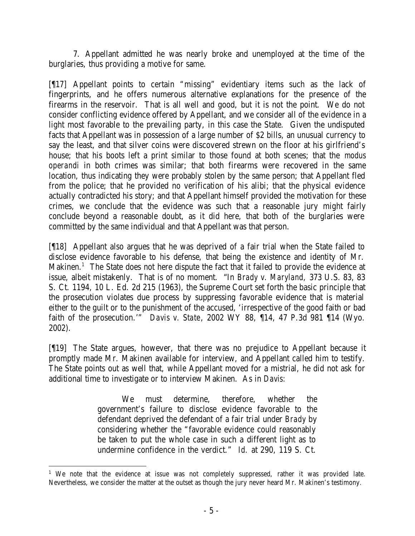7. Appellant admitted he was nearly broke and unemployed at the time of the burglaries, thus providing a motive for same.

[¶17] Appellant points to certain "missing" evidentiary items such as the lack of fingerprints, and he offers numerous alternative explanations for the presence of the firearms in the reservoir. That is all well and good, but it is not the point. We do not consider conflicting evidence offered by Appellant, and we consider all of the evidence in a light most favorable to the prevailing party, in this case the State. Given the undisputed facts that Appellant was in possession of a large number of \$2 bills, an unusual currency to say the least, and that silver coins were discovered strewn on the floor at his girlfriend's house; that his boots left a print similar to those found at both scenes; that the *modus operandi* in both crimes was similar; that both firearms were recovered in the same location, thus indicating they were probably stolen by the same person; that Appellant fled from the police; that he provided no verification of his alibi; that the physical evidence actually contradicted his story; and that Appellant himself provided the motivation for these crimes, we conclude that the evidence was such that a reasonable jury might fairly conclude beyond a reasonable doubt, as it did here, that both of the burglaries were committed by the same individual and that Appellant was that person.

[¶18] Appellant also argues that he was deprived of a fair trial when the State failed to disclose evidence favorable to his defense, that being the existence and identity of Mr. Makinen.<sup>1</sup> The State does not here dispute the fact that it failed to provide the evidence at issue, albeit mistakenly. That is of no moment. "In *Brady v. Maryland,* 373 U.S. 83, 83 S. Ct. 1194, 10 L. Ed. 2d 215 (1963), the Supreme Court set forth the basic principle that the prosecution violates due process by suppressing favorable evidence that is material either to the guilt or to the punishment of the accused, 'irrespective of the good faith or bad faith of the prosecution.'" *Davis v. State*, 2002 WY 88, ¶14, 47 P.3d 981 ¶14 (Wyo. 2002).

[¶19] The State argues, however, that there was no prejudice to Appellant because it promptly made Mr. Makinen available for interview, and Appellant called him to testify. The State points out as well that, while Appellant moved for a mistrial, he did not ask for additional time to investigate or to interview Makinen. As in *Davis:*

> We must determine, therefore, whether the government's failure to disclose evidence favorable to the defendant deprived the defendant of a fair trial under *Brady* by considering whether the "favorable evidence could reasonably be taken to put the whole case in such a different light as to undermine confidence in the verdict." *Id.* at 290, 119 S. Ct.

<sup>&</sup>lt;sup>1</sup> We note that the evidence at issue was not completely suppressed, rather it was provided late. Nevertheless, we consider the matter at the outset as though the jury never heard Mr. Makinen's testimony.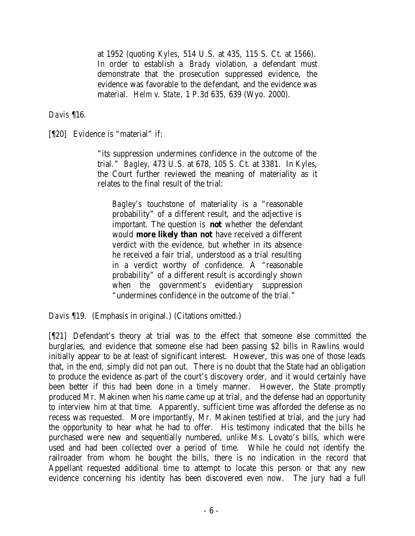at 1952 (quoting *Kyles,* 514 U.S. at 435, 115 S. Ct. at 1566). In order to establish a *Brady* violation, a defendant must demonstrate that the prosecution suppressed evidence, the evidence was favorable to the defendant, and the evidence was material. *Helm v. State*, 1 P.3d 635, 639 (Wyo. 2000).

*Davis* ¶16.

[¶20] Evidence is "material" if:

"its suppression undermines confidence in the outcome of the trial." *Bagley,* 473 U.S. at 678, 105 S. Ct. at 3381. In *Kyles*, the Court further reviewed the meaning of materiality as it relates to the final result of the trial:

*Bagley's* touchstone of materiality is a "reasonable probability" of a different result, and the adjective is important. The question is **not** whether the defendant would **more likely than not** have received a different verdict with the evidence, but whether in its absence he received a fair trial, understood as a trial resulting in a verdict worthy of confidence. A "reasonable probability" of a different result is accordingly shown when the government's evidentiary suppression "undermines confidence in the outcome of the trial."

*Davis* ¶19. (Emphasis in original.) (Citations omitted.)

[¶21] Defendant's theory at trial was to the effect that someone else committed the burglaries, and evidence that someone else had been passing \$2 bills in Rawlins would initially appear to be at least of significant interest. However, this was one of those leads that, in the end, simply did not pan out. There is no doubt that the State had an obligation to produce the evidence as part of the court's discovery order, and it would certainly have been better if this had been done in a timely manner. However, the State promptly produced Mr. Makinen when his name came up at trial, and the defense had an opportunity to interview him at that time. Apparently, sufficient time was afforded the defense as no recess was requested. More importantly, Mr. Makinen testified at trial, and the jury had the opportunity to hear what he had to offer. His testimony indicated that the bills he purchased were new and sequentially numbered, unlike Ms. Lovato's bills, which were used and had been collected over a period of time. While he could not identify the railroader from whom he bought the bills, there is no indication in the record that Appellant requested additional time to attempt to locate this person or that any new evidence concerning his identity has been discovered even now. The jury had a full